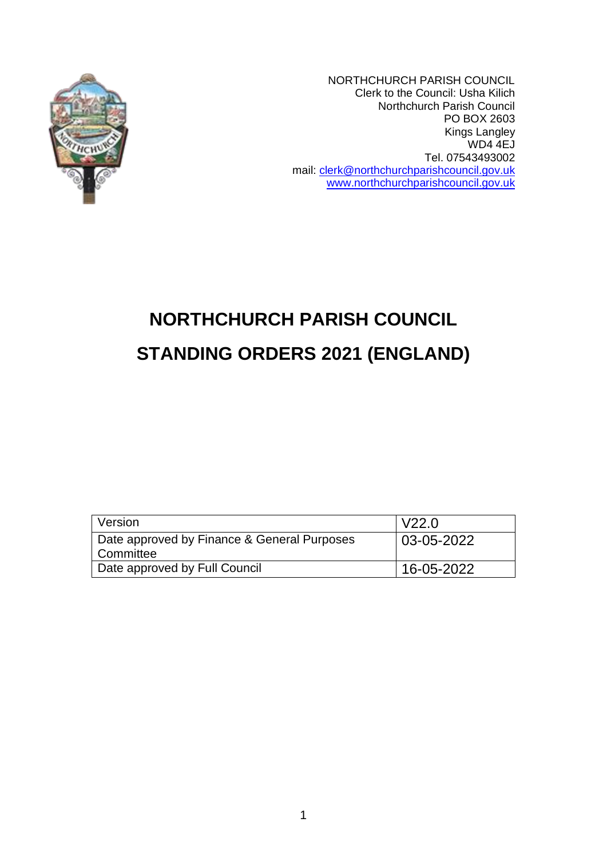

NORTHCHURCH PARISH COUNCIL Clerk to the Council: Usha Kilich Northchurch Parish Council PO BOX 2603 Kings Langley WD4 4EJ Tel. 07543493002 mail: [clerk@northchurchparishcouncil.gov.uk](mailto:clerk@northchurchparishcouncil.gov.uk) [www.northchurchparishcouncil.gov.uk](http://www.northchurchparishcouncil.gov.uk/)

# **NORTHCHURCH PARISH COUNCIL STANDING ORDERS 2021 (ENGLAND)**

| <b>Version</b>                                             | V22.0      |
|------------------------------------------------------------|------------|
| Date approved by Finance & General Purposes<br>l Committee | 03-05-2022 |
| Date approved by Full Council                              | 16-05-2022 |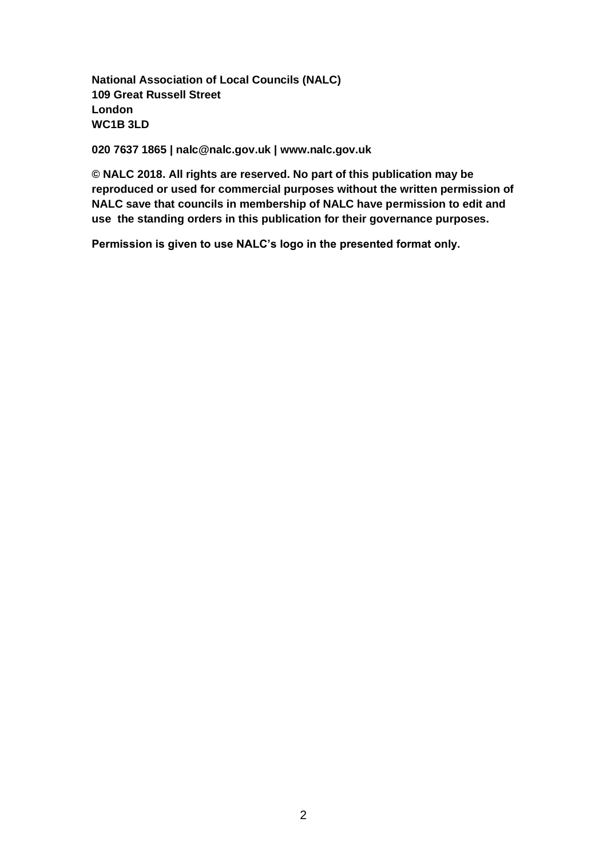**National Association of Local Councils (NALC) 109 Great Russell Street London WC1B 3LD**

**020 7637 1865 | nalc@nalc.gov.uk | www.nalc.gov.uk**

**© NALC 2018. All rights are reserved. No part of this publication may be reproduced or used for commercial purposes without the written permission of NALC save that councils in membership of NALC have permission to edit and use the standing orders in this publication for their governance purposes.**

**Permission is given to use NALC's logo in the presented format only.**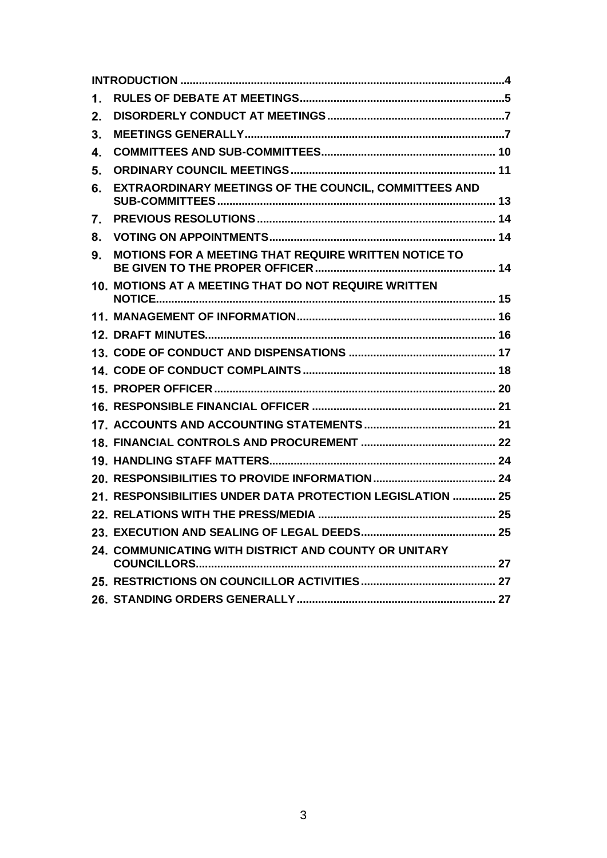| 1. |                                                            |  |
|----|------------------------------------------------------------|--|
| 2. |                                                            |  |
| 3. |                                                            |  |
| 4. |                                                            |  |
| 5. |                                                            |  |
| 6. | EXTRAORDINARY MEETINGS OF THE COUNCIL, COMMITTEES AND      |  |
| 7. |                                                            |  |
| 8. |                                                            |  |
| 9. | MOTIONS FOR A MEETING THAT REQUIRE WRITTEN NOTICE TO       |  |
|    | 10. MOTIONS AT A MEETING THAT DO NOT REQUIRE WRITTEN       |  |
|    |                                                            |  |
|    |                                                            |  |
|    |                                                            |  |
|    |                                                            |  |
|    |                                                            |  |
|    |                                                            |  |
|    |                                                            |  |
|    |                                                            |  |
|    |                                                            |  |
|    |                                                            |  |
|    | 21. RESPONSIBILITIES UNDER DATA PROTECTION LEGISLATION  25 |  |
|    |                                                            |  |
|    |                                                            |  |
|    | 24. COMMUNICATING WITH DISTRICT AND COUNTY OR UNITARY      |  |
|    |                                                            |  |
|    |                                                            |  |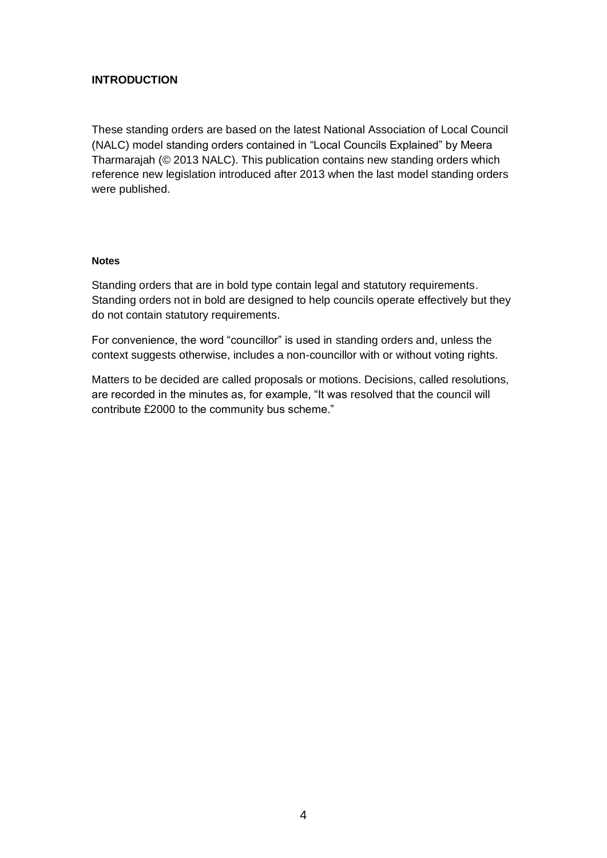# <span id="page-3-0"></span>**INTRODUCTION**

These standing orders are based on the latest National Association of Local Council (NALC) model standing orders contained in "Local Councils Explained" by Meera Tharmarajah (© 2013 NALC). This publication contains new standing orders which reference new legislation introduced after 2013 when the last model standing orders were published.

# **Notes**

Standing orders that are in bold type contain legal and statutory requirements. Standing orders not in bold are designed to help councils operate effectively but they do not contain statutory requirements.

For convenience, the word "councillor" is used in standing orders and, unless the context suggests otherwise, includes a non-councillor with or without voting rights.

<span id="page-3-1"></span>Matters to be decided are called proposals or motions. Decisions, called resolutions, are recorded in the minutes as, for example, "It was resolved that the council will contribute £2000 to the community bus scheme."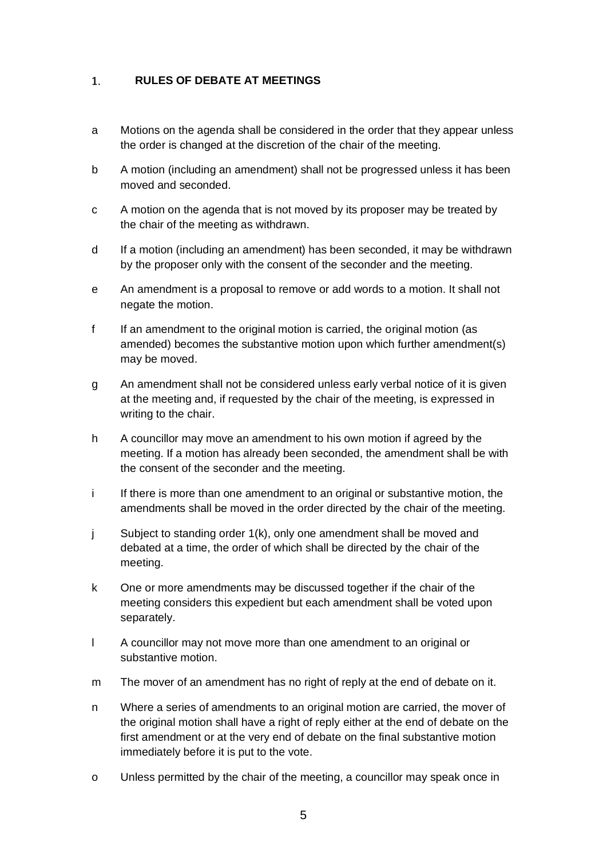#### **RULES OF DEBATE AT MEETINGS**  $1.$

- a Motions on the agenda shall be considered in the order that they appear unless the order is changed at the discretion of the chair of the meeting.
- b A motion (including an amendment) shall not be progressed unless it has been moved and seconded.
- c A motion on the agenda that is not moved by its proposer may be treated by the chair of the meeting as withdrawn.
- d If a motion (including an amendment) has been seconded, it may be withdrawn by the proposer only with the consent of the seconder and the meeting.
- e An amendment is a proposal to remove or add words to a motion. It shall not negate the motion.
- f If an amendment to the original motion is carried, the original motion (as amended) becomes the substantive motion upon which further amendment(s) may be moved.
- g An amendment shall not be considered unless early verbal notice of it is given at the meeting and, if requested by the chair of the meeting, is expressed in writing to the chair.
- h A councillor may move an amendment to his own motion if agreed by the meeting. If a motion has already been seconded, the amendment shall be with the consent of the seconder and the meeting.
- i If there is more than one amendment to an original or substantive motion, the amendments shall be moved in the order directed by the chair of the meeting.
- j Subject to standing order 1(k), only one amendment shall be moved and debated at a time, the order of which shall be directed by the chair of the meeting.
- k One or more amendments may be discussed together if the chair of the meeting considers this expedient but each amendment shall be voted upon separately.
- l A councillor may not move more than one amendment to an original or substantive motion.
- m The mover of an amendment has no right of reply at the end of debate on it.
- n Where a series of amendments to an original motion are carried, the mover of the original motion shall have a right of reply either at the end of debate on the first amendment or at the very end of debate on the final substantive motion immediately before it is put to the vote.
- o Unless permitted by the chair of the meeting, a councillor may speak once in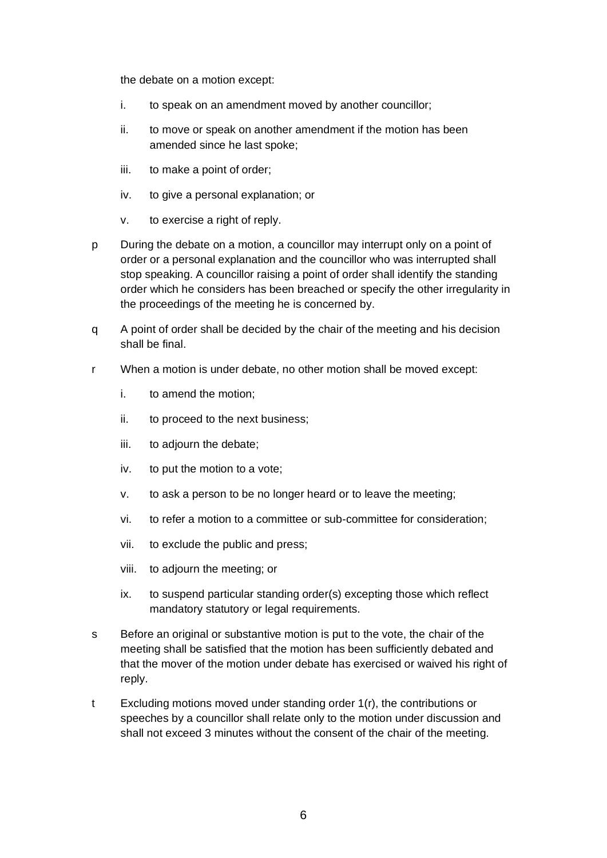the debate on a motion except:

- i. to speak on an amendment moved by another councillor;
- ii. to move or speak on another amendment if the motion has been amended since he last spoke;
- iii. to make a point of order;
- iv. to give a personal explanation; or
- v. to exercise a right of reply.
- p During the debate on a motion, a councillor may interrupt only on a point of order or a personal explanation and the councillor who was interrupted shall stop speaking. A councillor raising a point of order shall identify the standing order which he considers has been breached or specify the other irregularity in the proceedings of the meeting he is concerned by.
- q A point of order shall be decided by the chair of the meeting and his decision shall be final.
- r When a motion is under debate, no other motion shall be moved except:
	- i. to amend the motion;
	- ii. to proceed to the next business;
	- iii. to adjourn the debate;
	- iv. to put the motion to a vote;
	- v. to ask a person to be no longer heard or to leave the meeting;
	- vi. to refer a motion to a committee or sub-committee for consideration;
	- vii. to exclude the public and press;
	- viii. to adjourn the meeting; or
	- ix. to suspend particular standing order(s) excepting those which reflect mandatory statutory or legal requirements.
- s Before an original or substantive motion is put to the vote, the chair of the meeting shall be satisfied that the motion has been sufficiently debated and that the mover of the motion under debate has exercised or waived his right of reply.
- <span id="page-5-0"></span>t Excluding motions moved under standing order 1(r), the contributions or speeches by a councillor shall relate only to the motion under discussion and shall not exceed 3 minutes without the consent of the chair of the meeting.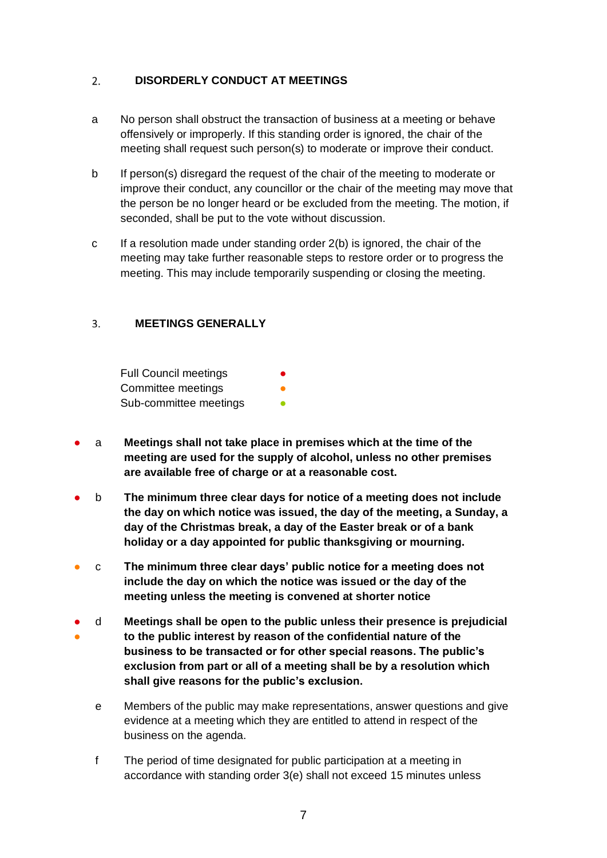#### $2.$ **DISORDERLY CONDUCT AT MEETINGS**

- a No person shall obstruct the transaction of business at a meeting or behave offensively or improperly. If this standing order is ignored, the chair of the meeting shall request such person(s) to moderate or improve their conduct.
- b If person(s) disregard the request of the chair of the meeting to moderate or improve their conduct, any councillor or the chair of the meeting may move that the person be no longer heard or be excluded from the meeting. The motion, if seconded, shall be put to the vote without discussion.
- c If a resolution made under standing order  $2(b)$  is ignored, the chair of the meeting may take further reasonable steps to restore order or to progress the meeting. This may include temporarily suspending or closing the meeting.

#### <span id="page-6-0"></span>**MEETINGS GENERALLY**  $\mathbf{R}$

Full Council meetings Committee meetings Sub-committee meetings

- a **Meetings shall not take place in premises which at the time of the meeting are used for the supply of alcohol, unless no other premises are available free of charge or at a reasonable cost.**
- b **The minimum three clear days for notice of a meeting does not include the day on which notice was issued, the day of the meeting, a Sunday, a day of the Christmas break, a day of the Easter break or of a bank holiday or a day appointed for public thanksgiving or mourning.**
- c **The minimum three clear days' public notice for a meeting does not include the day on which the notice was issued or the day of the meeting unless the meeting is convened at shorter notice**
- ● d **Meetings shall be open to the public unless their presence is prejudicial to the public interest by reason of the confidential nature of the business to be transacted or for other special reasons. The public's exclusion from part or all of a meeting shall be by a resolution which shall give reasons for the public's exclusion.**
	- e Members of the public may make representations, answer questions and give evidence at a meeting which they are entitled to attend in respect of the business on the agenda.
	- f The period of time designated for public participation at a meeting in accordance with standing order 3(e) shall not exceed 15 minutes unless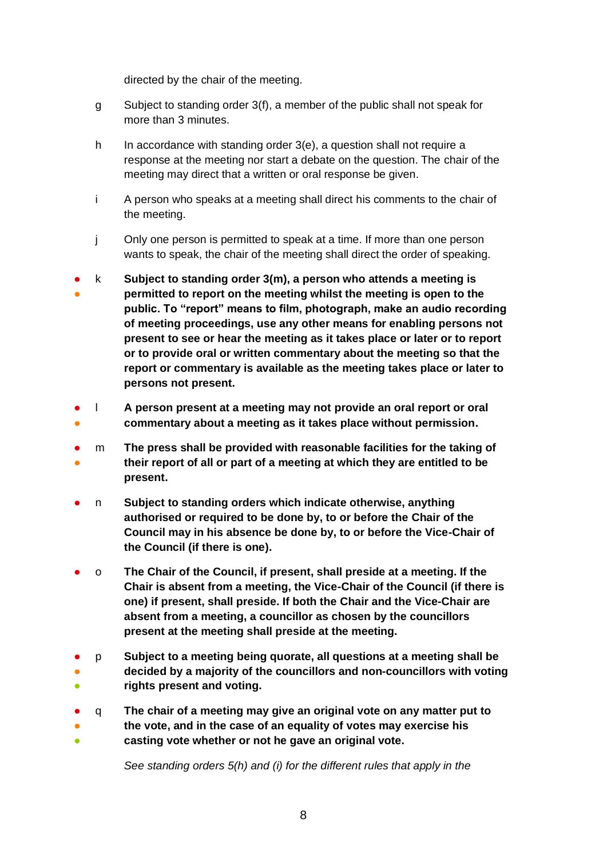directed by the chair of the meeting.

- g Subject to standing order 3(f), a member of the public shall not speak for more than 3 minutes.
- h In accordance with standing order 3(e), a question shall not require a response at the meeting nor start a debate on the question. The chair of the meeting may direct that a written or oral response be given.
- i A person who speaks at a meeting shall direct his comments to the chair of the meeting.
- j Only one person is permitted to speak at a time. If more than one person wants to speak, the chair of the meeting shall direct the order of speaking.
- ● k **Subject to standing order 3(m), a person who attends a meeting is permitted to report on the meeting whilst the meeting is open to the public. To "report" means to film, photograph, make an audio recording of meeting proceedings, use any other means for enabling persons not present to see or hear the meeting as it takes place or later or to report or to provide oral or written commentary about the meeting so that the report or commentary is available as the meeting takes place or later to persons not present.**
- ● l **A person present at a meeting may not provide an oral report or oral commentary about a meeting as it takes place without permission.**
- ● m **The press shall be provided with reasonable facilities for the taking of their report of all or part of a meeting at which they are entitled to be present.**
- n Subject to standing orders which indicate otherwise, anything **authorised or required to be done by, to or before the Chair of the Council may in his absence be done by, to or before the Vice-Chair of the Council (if there is one).**
- o **The Chair of the Council, if present, shall preside at a meeting. If the Chair is absent from a meeting, the Vice-Chair of the Council (if there is one) if present, shall preside. If both the Chair and the Vice-Chair are absent from a meeting, a councillor as chosen by the councillors present at the meeting shall preside at the meeting.**
- ● ● p **Subject to a meeting being quorate, all questions at a meeting shall be decided by a majority of the councillors and non-councillors with voting rights present and voting.**
- ● ● q **The chair of a meeting may give an original vote on any matter put to the vote, and in the case of an equality of votes may exercise his casting vote whether or not he gave an original vote.**

*See standing orders 5(h) and (i) for the different rules that apply in the*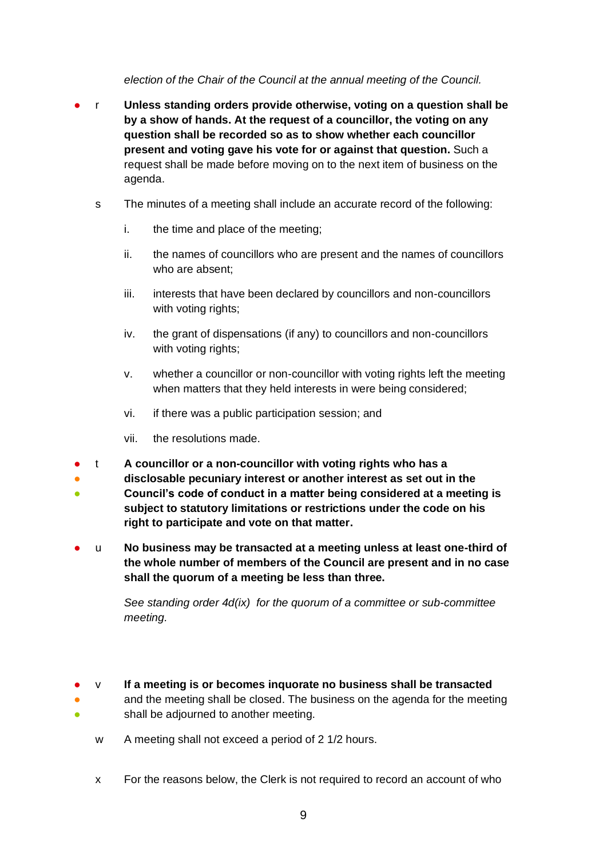*election of the Chair of the Council at the annual meeting of the Council.*

- r **Unless standing orders provide otherwise, voting on a question shall be by a show of hands. At the request of a councillor, the voting on any question shall be recorded so as to show whether each councillor present and voting gave his vote for or against that question.** Such a request shall be made before moving on to the next item of business on the agenda.
	- s The minutes of a meeting shall include an accurate record of the following:
		- i. the time and place of the meeting;
		- ii. the names of councillors who are present and the names of councillors who are absent;
		- iii. interests that have been declared by councillors and non-councillors with voting rights:
		- iv. the grant of dispensations (if any) to councillors and non-councillors with voting rights;
		- v. whether a councillor or non-councillor with voting rights left the meeting when matters that they held interests in were being considered;
		- vi. if there was a public participation session; and
		- vii. the resolutions made.
- t **A councillor or a non-councillor with voting rights who has a**
- **disclosable pecuniary interest or another interest as set out in the**
- **Council's code of conduct in a matter being considered at a meeting is subject to statutory limitations or restrictions under the code on his right to participate and vote on that matter.**
- u **No business may be transacted at a meeting unless at least one-third of the whole number of members of the Council are present and in no case shall the quorum of a meeting be less than three.**

*See standing order 4d(ix) for the quorum of a committee or sub-committee meeting.* 

- v **If a meeting is or becomes inquorate no business shall be transacted**
	- and the meeting shall be closed. The business on the agenda for the meeting shall be adjourned to another meeting.
		- w A meeting shall not exceed a period of 2 1/2 hours.

● ●

x For the reasons below, the Clerk is not required to record an account of who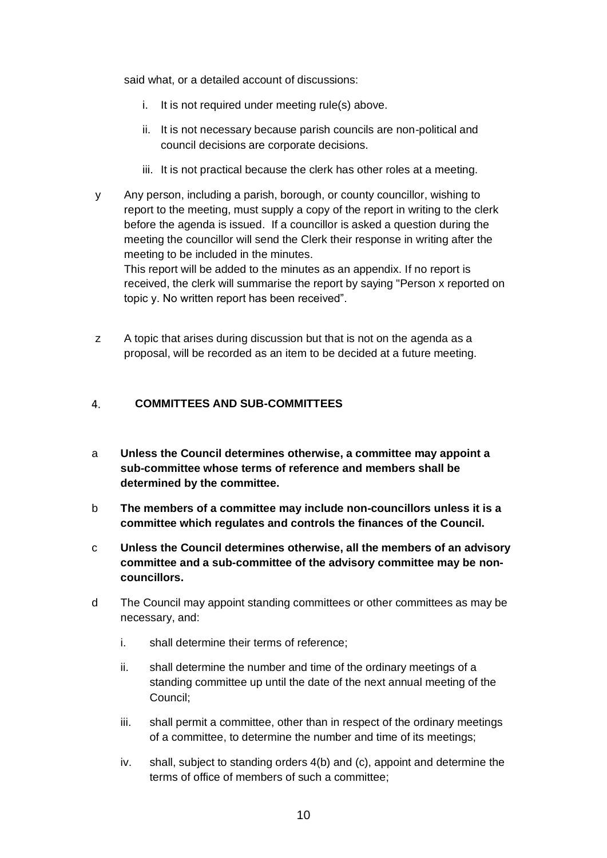said what, or a detailed account of discussions:

- i. It is not required under meeting rule(s) above.
- ii. It is not necessary because parish councils are non-political and council decisions are corporate decisions.
- iii. It is not practical because the clerk has other roles at a meeting.
- y Any person, including a parish, borough, or county councillor, wishing to report to the meeting, must supply a copy of the report in writing to the clerk before the agenda is issued. If a councillor is asked a question during the meeting the councillor will send the Clerk their response in writing after the meeting to be included in the minutes.

This report will be added to the minutes as an appendix. If no report is received, the clerk will summarise the report by saying "Person x reported on topic y. No written report has been received".

z A topic that arises during discussion but that is not on the agenda as a proposal, will be recorded as an item to be decided at a future meeting.

#### <span id="page-9-0"></span>**COMMITTEES AND SUB-COMMITTEES**  $\overline{4}$ .

- a **Unless the Council determines otherwise, a committee may appoint a sub-committee whose terms of reference and members shall be determined by the committee.**
- b **The members of a committee may include non-councillors unless it is a committee which regulates and controls the finances of the Council.**
- c **Unless the Council determines otherwise, all the members of an advisory committee and a sub-committee of the advisory committee may be noncouncillors.**
- d The Council may appoint standing committees or other committees as may be necessary, and:
	- i. shall determine their terms of reference;
	- ii. shall determine the number and time of the ordinary meetings of a standing committee up until the date of the next annual meeting of the Council;
	- iii. shall permit a committee, other than in respect of the ordinary meetings of a committee, to determine the number and time of its meetings;
	- iv. shall, subject to standing orders 4(b) and (c), appoint and determine the terms of office of members of such a committee;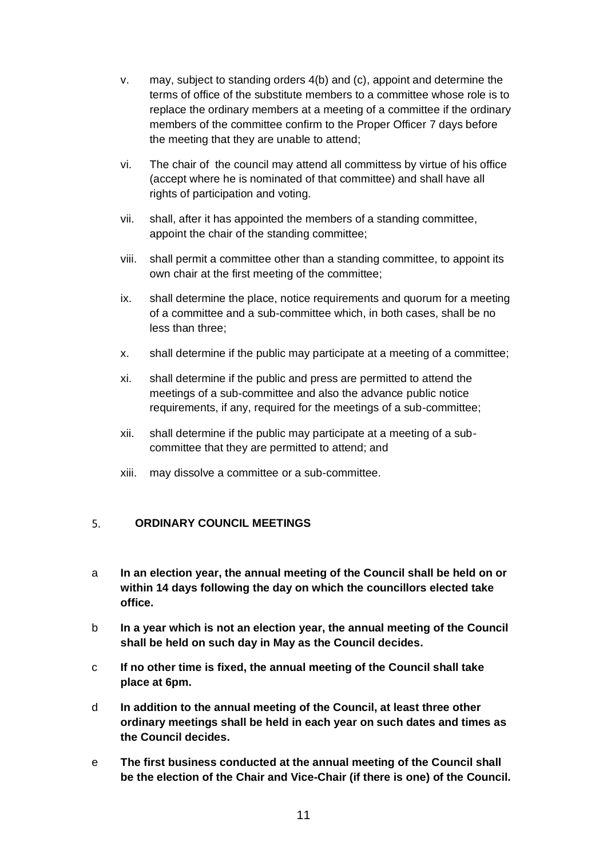- v. may, subject to standing orders 4(b) and (c), appoint and determine the terms of office of the substitute members to a committee whose role is to replace the ordinary members at a meeting of a committee if the ordinary members of the committee confirm to the Proper Officer 7 days before the meeting that they are unable to attend;
- vi. The chair of the council may attend all committess by virtue of his office (accept where he is nominated of that committee) and shall have all rights of participation and voting.
- vii. shall, after it has appointed the members of a standing committee, appoint the chair of the standing committee;
- viii. shall permit a committee other than a standing committee, to appoint its own chair at the first meeting of the committee;
- ix. shall determine the place, notice requirements and quorum for a meeting of a committee and a sub-committee which, in both cases, shall be no less than three;
- x. shall determine if the public may participate at a meeting of a committee;
- xi. shall determine if the public and press are permitted to attend the meetings of a sub-committee and also the advance public notice requirements, if any, required for the meetings of a sub-committee;
- xii. shall determine if the public may participate at a meeting of a subcommittee that they are permitted to attend; and
- xiii. may dissolve a committee or a sub-committee.

#### <span id="page-10-0"></span> $5<sub>1</sub>$ **ORDINARY COUNCIL MEETINGS**

- a **In an election year, the annual meeting of the Council shall be held on or within 14 days following the day on which the councillors elected take office.**
- b **In a year which is not an election year, the annual meeting of the Council shall be held on such day in May as the Council decides.**
- c **If no other time is fixed, the annual meeting of the Council shall take place at 6pm.**
- d **In addition to the annual meeting of the Council, at least three other ordinary meetings shall be held in each year on such dates and times as the Council decides.**
- e **The first business conducted at the annual meeting of the Council shall be the election of the Chair and Vice-Chair (if there is one) of the Council.**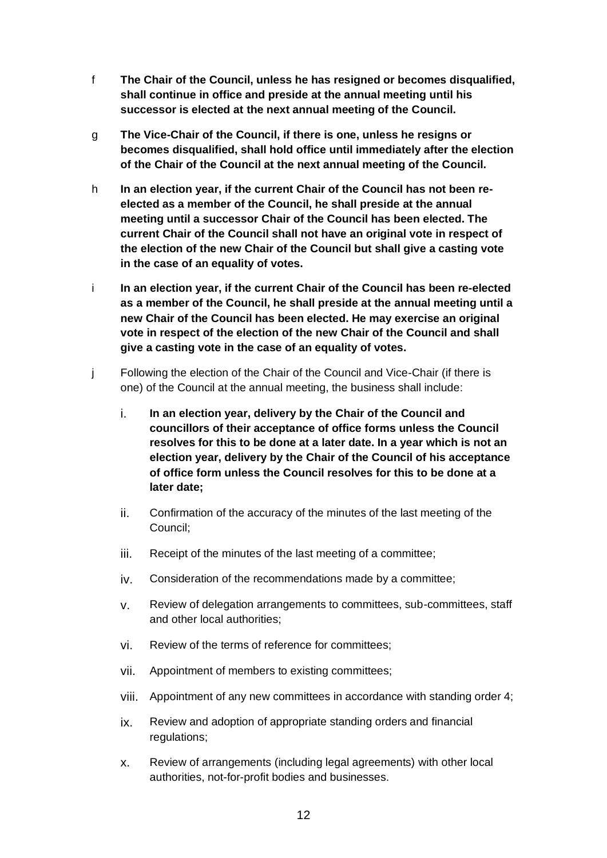- f **The Chair of the Council, unless he has resigned or becomes disqualified, shall continue in office and preside at the annual meeting until his successor is elected at the next annual meeting of the Council.**
- g **The Vice-Chair of the Council, if there is one, unless he resigns or becomes disqualified, shall hold office until immediately after the election of the Chair of the Council at the next annual meeting of the Council.**
- h **In an election year, if the current Chair of the Council has not been reelected as a member of the Council, he shall preside at the annual meeting until a successor Chair of the Council has been elected. The current Chair of the Council shall not have an original vote in respect of the election of the new Chair of the Council but shall give a casting vote in the case of an equality of votes.**
- i **In an election year, if the current Chair of the Council has been re-elected as a member of the Council, he shall preside at the annual meeting until a new Chair of the Council has been elected. He may exercise an original vote in respect of the election of the new Chair of the Council and shall give a casting vote in the case of an equality of votes.**
- j Following the election of the Chair of the Council and Vice-Chair (if there is one) of the Council at the annual meeting, the business shall include:
	- i. **In an election year, delivery by the Chair of the Council and councillors of their acceptance of office forms unless the Council resolves for this to be done at a later date. In a year which is not an election year, delivery by the Chair of the Council of his acceptance of office form unless the Council resolves for this to be done at a later date;**
	- ii. Confirmation of the accuracy of the minutes of the last meeting of the Council;
	- iii. Receipt of the minutes of the last meeting of a committee;
	- iv. Consideration of the recommendations made by a committee;
	- v. Review of delegation arrangements to committees, sub-committees, staff and other local authorities;
	- vi. Review of the terms of reference for committees;
	- vii. Appointment of members to existing committees;
	- viii. Appointment of any new committees in accordance with standing order 4;
	- ix. Review and adoption of appropriate standing orders and financial regulations;
	- x. Review of arrangements (including legal agreements) with other local authorities, not-for-profit bodies and businesses.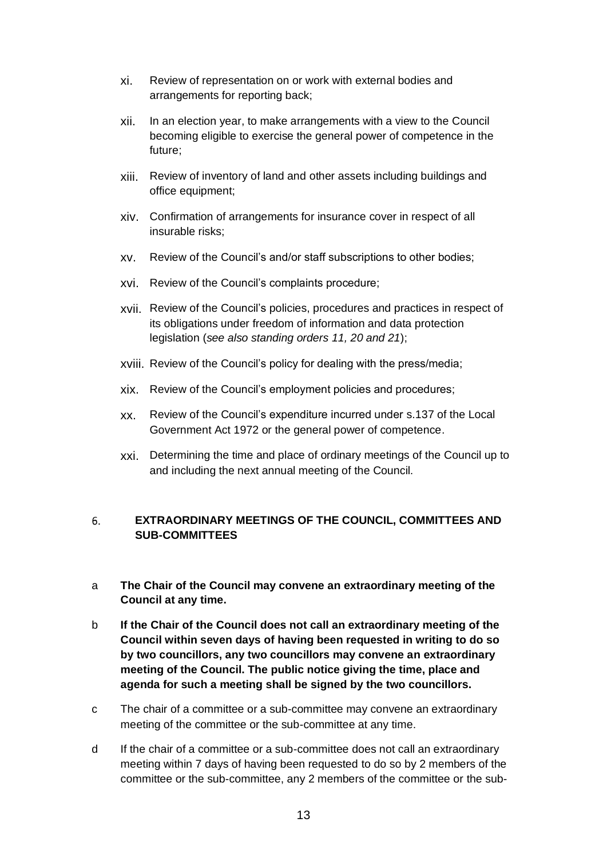- xi. Review of representation on or work with external bodies and arrangements for reporting back;
- xii. In an election year, to make arrangements with a view to the Council becoming eligible to exercise the general power of competence in the future;
- xiii. Review of inventory of land and other assets including buildings and office equipment;
- xiv. Confirmation of arrangements for insurance cover in respect of all insurable risks;
- xv. Review of the Council's and/or staff subscriptions to other bodies;
- xvi. Review of the Council's complaints procedure;
- xvii. Review of the Council's policies, procedures and practices in respect of its obligations under freedom of information and data protection legislation (*see also standing orders 11, 20 and 21*);
- xviii. Review of the Council's policy for dealing with the press/media;
- xix. Review of the Council's employment policies and procedures;
- xx. Review of the Council's expenditure incurred under s.137 of the Local Government Act 1972 or the general power of competence.
- xxi. Determining the time and place of ordinary meetings of the Council up to and including the next annual meeting of the Council.

### <span id="page-12-0"></span>6. **EXTRAORDINARY MEETINGS OF THE COUNCIL, COMMITTEES AND SUB-COMMITTEES**

- a **The Chair of the Council may convene an extraordinary meeting of the Council at any time.**
- b **If the Chair of the Council does not call an extraordinary meeting of the Council within seven days of having been requested in writing to do so by two councillors, any two councillors may convene an extraordinary meeting of the Council. The public notice giving the time, place and agenda for such a meeting shall be signed by the two councillors.**
- c The chair of a committee or a sub-committee may convene an extraordinary meeting of the committee or the sub-committee at any time.
- d If the chair of a committee or a sub-committee does not call an extraordinary meeting within 7 days of having been requested to do so by 2 members of the committee or the sub-committee, any 2 members of the committee or the sub-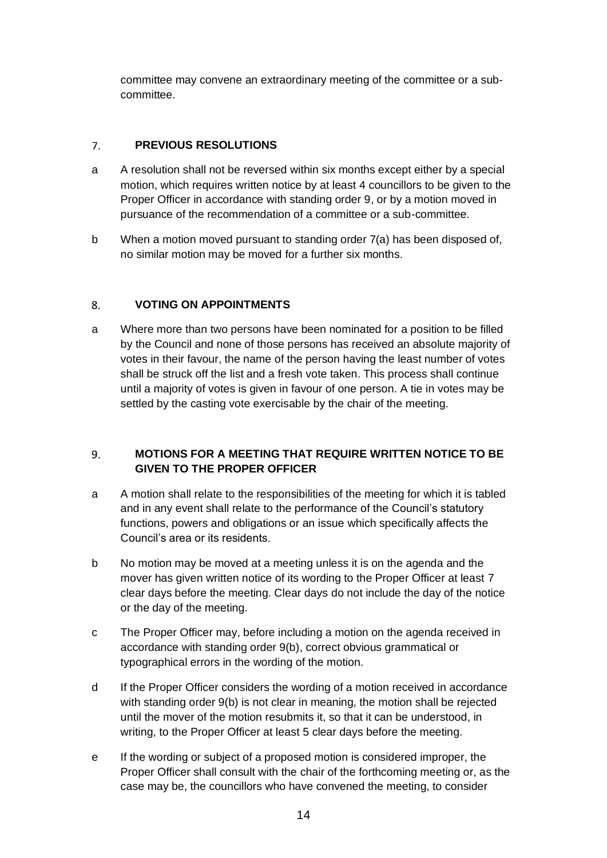committee may convene an extraordinary meeting of the committee or a subcommittee.

#### <span id="page-13-0"></span>**PREVIOUS RESOLUTIONS**  $7.$

- a A resolution shall not be reversed within six months except either by a special motion, which requires written notice by at least 4 councillors to be given to the Proper Officer in accordance with standing order 9, or by a motion moved in pursuance of the recommendation of a committee or a sub-committee.
- b When a motion moved pursuant to standing order 7(a) has been disposed of, no similar motion may be moved for a further six months.

#### <span id="page-13-1"></span>8. **VOTING ON APPOINTMENTS**

a Where more than two persons have been nominated for a position to be filled by the Council and none of those persons has received an absolute majority of votes in their favour, the name of the person having the least number of votes shall be struck off the list and a fresh vote taken. This process shall continue until a majority of votes is given in favour of one person. A tie in votes may be settled by the casting vote exercisable by the chair of the meeting.

## <span id="page-13-2"></span>9. **MOTIONS FOR A MEETING THAT REQUIRE WRITTEN NOTICE TO BE GIVEN TO THE PROPER OFFICER**

- a A motion shall relate to the responsibilities of the meeting for which it is tabled and in any event shall relate to the performance of the Council's statutory functions, powers and obligations or an issue which specifically affects the Council's area or its residents.
- b No motion may be moved at a meeting unless it is on the agenda and the mover has given written notice of its wording to the Proper Officer at least 7 clear days before the meeting. Clear days do not include the day of the notice or the day of the meeting.
- c The Proper Officer may, before including a motion on the agenda received in accordance with standing order 9(b), correct obvious grammatical or typographical errors in the wording of the motion.
- d If the Proper Officer considers the wording of a motion received in accordance with standing order 9(b) is not clear in meaning, the motion shall be rejected until the mover of the motion resubmits it, so that it can be understood, in writing, to the Proper Officer at least 5 clear days before the meeting.
- e If the wording or subject of a proposed motion is considered improper, the Proper Officer shall consult with the chair of the forthcoming meeting or, as the case may be, the councillors who have convened the meeting, to consider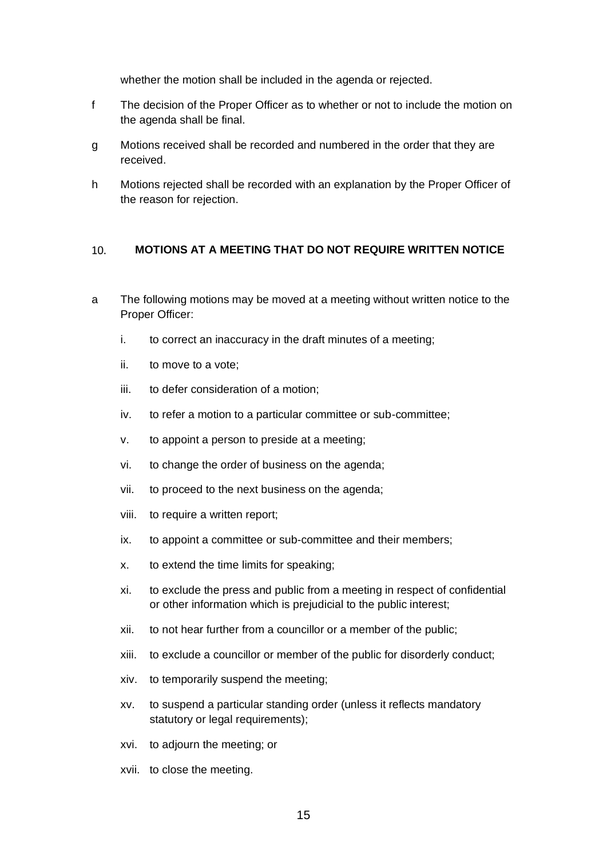whether the motion shall be included in the agenda or rejected.

- f The decision of the Proper Officer as to whether or not to include the motion on the agenda shall be final.
- g Motions received shall be recorded and numbered in the order that they are received.
- h Motions rejected shall be recorded with an explanation by the Proper Officer of the reason for rejection.

#### <span id="page-14-0"></span>10. **MOTIONS AT A MEETING THAT DO NOT REQUIRE WRITTEN NOTICE**

- a The following motions may be moved at a meeting without written notice to the Proper Officer:
	- i. to correct an inaccuracy in the draft minutes of a meeting;
	- ii. to move to a vote;
	- iii. to defer consideration of a motion;
	- iv. to refer a motion to a particular committee or sub-committee;
	- v. to appoint a person to preside at a meeting;
	- vi. to change the order of business on the agenda;
	- vii. to proceed to the next business on the agenda;
	- viii. to require a written report;
	- ix. to appoint a committee or sub-committee and their members;
	- x. to extend the time limits for speaking;
	- xi. to exclude the press and public from a meeting in respect of confidential or other information which is prejudicial to the public interest;
	- xii. to not hear further from a councillor or a member of the public;
	- xiii. to exclude a councillor or member of the public for disorderly conduct;
	- xiv. to temporarily suspend the meeting;
	- xv. to suspend a particular standing order (unless it reflects mandatory statutory or legal requirements);
	- xvi. to adjourn the meeting; or
	- xvii. to close the meeting.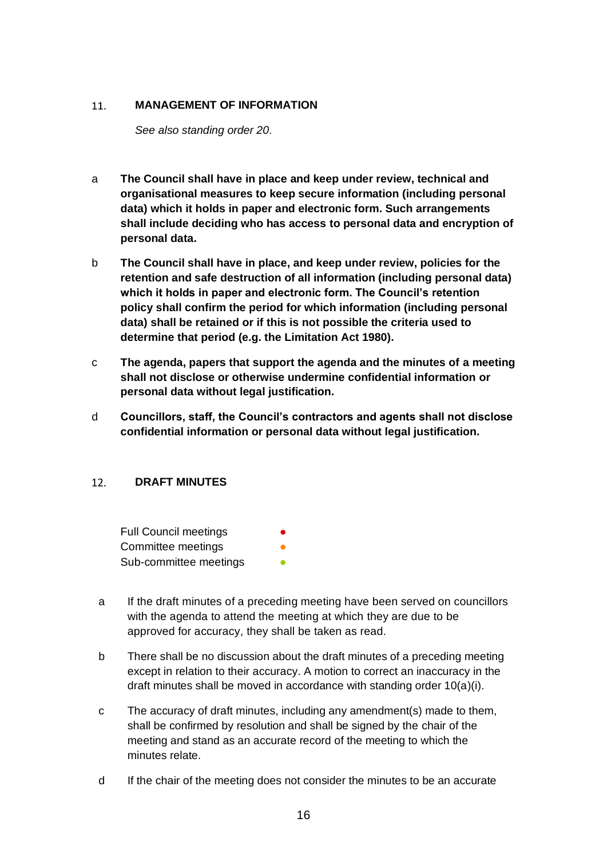#### <span id="page-15-0"></span>11. **MANAGEMENT OF INFORMATION**

*See also standing order 20.*

- a **The Council shall have in place and keep under review, technical and organisational measures to keep secure information (including personal data) which it holds in paper and electronic form. Such arrangements shall include deciding who has access to personal data and encryption of personal data.**
- b **The Council shall have in place, and keep under review, policies for the retention and safe destruction of all information (including personal data) which it holds in paper and electronic form. The Council's retention policy shall confirm the period for which information (including personal data) shall be retained or if this is not possible the criteria used to determine that period (e.g. the Limitation Act 1980).**
- c **The agenda, papers that support the agenda and the minutes of a meeting shall not disclose or otherwise undermine confidential information or personal data without legal justification.**
- d **Councillors, staff, the Council's contractors and agents shall not disclose confidential information or personal data without legal justification.**

#### <span id="page-15-1"></span> $12.$ **DRAFT MINUTES**

**Full Council meetings** Committee meetings Sub-committee meetings

- a If the draft minutes of a preceding meeting have been served on councillors with the agenda to attend the meeting at which they are due to be approved for accuracy, they shall be taken as read.
- b There shall be no discussion about the draft minutes of a preceding meeting except in relation to their accuracy. A motion to correct an inaccuracy in the draft minutes shall be moved in accordance with standing order 10(a)(i).
- c The accuracy of draft minutes, including any amendment(s) made to them, shall be confirmed by resolution and shall be signed by the chair of the meeting and stand as an accurate record of the meeting to which the minutes relate.
- d If the chair of the meeting does not consider the minutes to be an accurate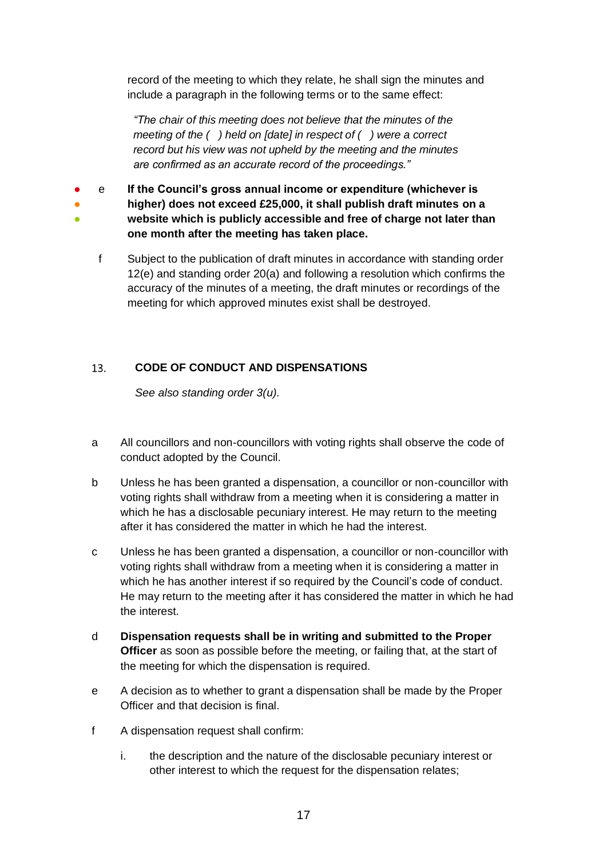record of the meeting to which they relate, he shall sign the minutes and include a paragraph in the following terms or to the same effect:

*"The chair of this meeting does not believe that the minutes of the meeting of the ( ) held on [date] in respect of ( ) were a correct record but his view was not upheld by the meeting and the minutes are confirmed as an accurate record of the proceedings."*

● e **If the Council's gross annual income or expenditure (whichever is** 

● ●

- **higher) does not exceed £25,000, it shall publish draft minutes on a website which is publicly accessible and free of charge not later than one month after the meeting has taken place.**
- f Subject to the publication of draft minutes in accordance with standing order 12(e) and standing order 20(a) and following a resolution which confirms the accuracy of the minutes of a meeting, the draft minutes or recordings of the meeting for which approved minutes exist shall be destroyed.

#### <span id="page-16-0"></span> $13.$ **CODE OF CONDUCT AND DISPENSATIONS**

*See also standing order 3(u).*

- a All councillors and non-councillors with voting rights shall observe the code of conduct adopted by the Council.
- b Unless he has been granted a dispensation, a councillor or non-councillor with voting rights shall withdraw from a meeting when it is considering a matter in which he has a disclosable pecuniary interest. He may return to the meeting after it has considered the matter in which he had the interest.
- c Unless he has been granted a dispensation, a councillor or non-councillor with voting rights shall withdraw from a meeting when it is considering a matter in which he has another interest if so required by the Council's code of conduct. He may return to the meeting after it has considered the matter in which he had the interest.
- d **Dispensation requests shall be in writing and submitted to the Proper Officer** as soon as possible before the meeting, or failing that, at the start of the meeting for which the dispensation is required.
- e A decision as to whether to grant a dispensation shall be made by the Proper Officer and that decision is final.
- f A dispensation request shall confirm:
	- i. the description and the nature of the disclosable pecuniary interest or other interest to which the request for the dispensation relates;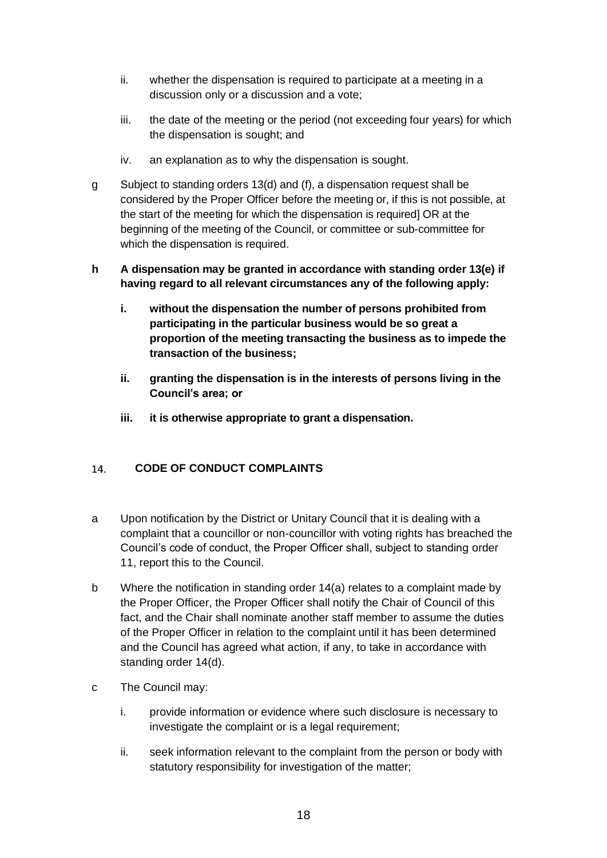- ii. whether the dispensation is required to participate at a meeting in a discussion only or a discussion and a vote;
- iii. the date of the meeting or the period (not exceeding four years) for which the dispensation is sought; and
- iv. an explanation as to why the dispensation is sought.
- g Subject to standing orders 13(d) and (f), a dispensation request shall be considered by the Proper Officer before the meeting or, if this is not possible, at the start of the meeting for which the dispensation is required] OR at the beginning of the meeting of the Council, or committee or sub-committee for which the dispensation is required.
- **h A dispensation may be granted in accordance with standing order 13(e) if having regard to all relevant circumstances any of the following apply:**
	- **i. without the dispensation the number of persons prohibited from participating in the particular business would be so great a proportion of the meeting transacting the business as to impede the transaction of the business;**
	- **ii. granting the dispensation is in the interests of persons living in the Council's area; or**
	- **iii. it is otherwise appropriate to grant a dispensation.**

#### <span id="page-17-0"></span>**CODE OF CONDUCT COMPLAINTS**  14.

- a Upon notification by the District or Unitary Council that it is dealing with a complaint that a councillor or non-councillor with voting rights has breached the Council's code of conduct, the Proper Officer shall, subject to standing order 11, report this to the Council.
- b Where the notification in standing order 14(a) relates to a complaint made by the Proper Officer, the Proper Officer shall notify the Chair of Council of this fact, and the Chair shall nominate another staff member to assume the duties of the Proper Officer in relation to the complaint until it has been determined and the Council has agreed what action, if any, to take in accordance with standing order 14(d).
- c The Council may:
	- i. provide information or evidence where such disclosure is necessary to investigate the complaint or is a legal requirement;
	- ii. seek information relevant to the complaint from the person or body with statutory responsibility for investigation of the matter;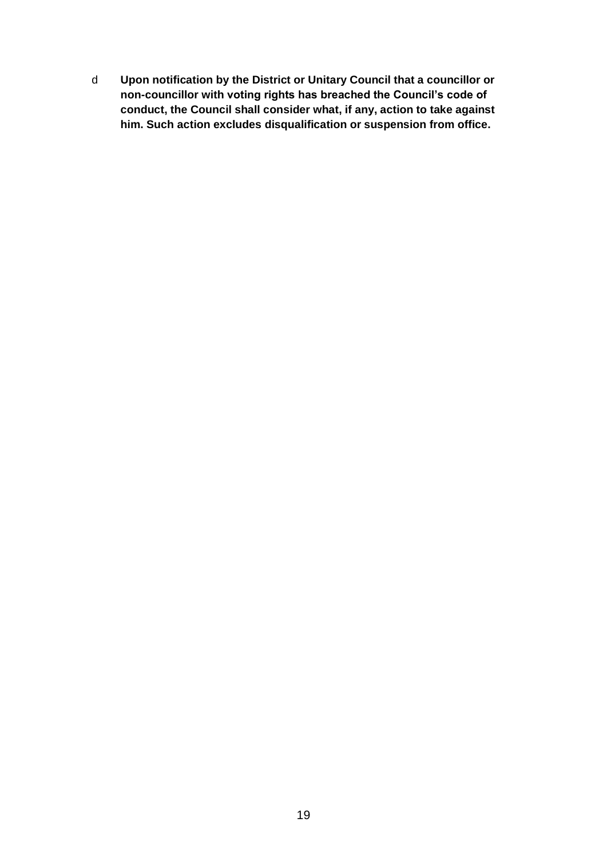<span id="page-18-0"></span>d **Upon notification by the District or Unitary Council that a councillor or non-councillor with voting rights has breached the Council's code of conduct, the Council shall consider what, if any, action to take against him. Such action excludes disqualification or suspension from office.**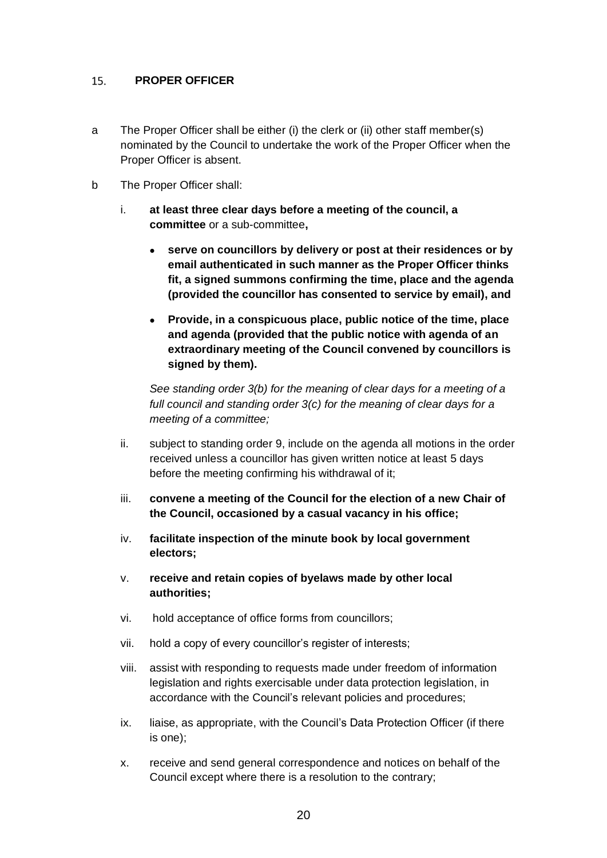#### **PROPER OFFICER**  15.

- a The Proper Officer shall be either (i) the clerk or (ii) other staff member(s) nominated by the Council to undertake the work of the Proper Officer when the Proper Officer is absent.
- b The Proper Officer shall:
	- i. **at least three clear days before a meeting of the council, a committee** or a sub-committee**,**
		- **serve on councillors by delivery or post at their residences or by email authenticated in such manner as the Proper Officer thinks fit, a signed summons confirming the time, place and the agenda (provided the councillor has consented to service by email), and**
		- **Provide, in a conspicuous place, public notice of the time, place and agenda (provided that the public notice with agenda of an extraordinary meeting of the Council convened by councillors is signed by them).**

*See standing order 3(b) for the meaning of clear days for a meeting of a full council and standing order 3(c) for the meaning of clear days for a meeting of a committee;*

- ii. subject to standing order 9, include on the agenda all motions in the order received unless a councillor has given written notice at least 5 days before the meeting confirming his withdrawal of it;
- iii. **convene a meeting of the Council for the election of a new Chair of the Council, occasioned by a casual vacancy in his office;**
- iv. **facilitate inspection of the minute book by local government electors;**
- v. **receive and retain copies of byelaws made by other local authorities;**
- vi. hold acceptance of office forms from councillors;
- vii. hold a copy of every councillor's register of interests;
- viii. assist with responding to requests made under freedom of information legislation and rights exercisable under data protection legislation, in accordance with the Council's relevant policies and procedures;
- ix. liaise, as appropriate, with the Council's Data Protection Officer (if there is one);
- x. receive and send general correspondence and notices on behalf of the Council except where there is a resolution to the contrary;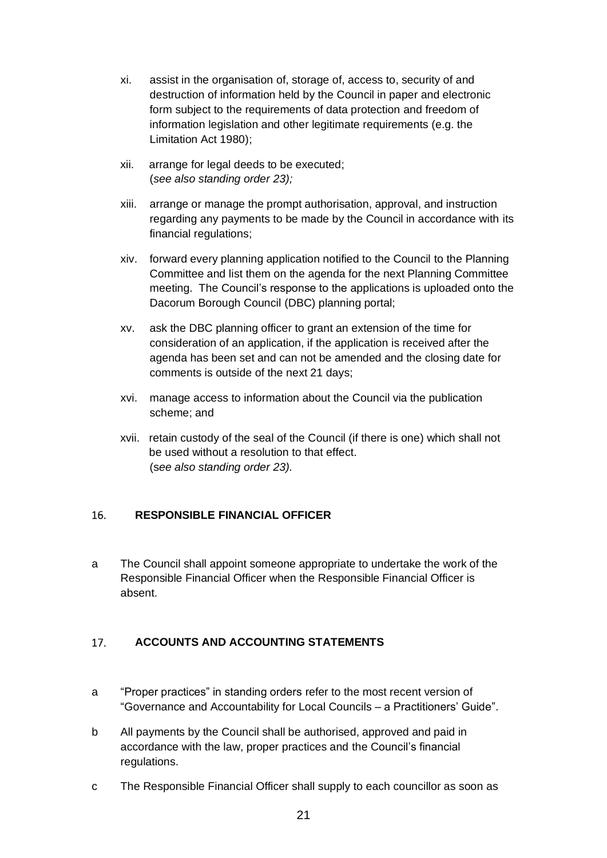- xi. assist in the organisation of, storage of, access to, security of and destruction of information held by the Council in paper and electronic form subject to the requirements of data protection and freedom of information legislation and other legitimate requirements (e.g. the Limitation Act 1980);
- xii. arrange for legal deeds to be executed; (*see also standing order 23);*
- xiii. arrange or manage the prompt authorisation, approval, and instruction regarding any payments to be made by the Council in accordance with its financial regulations;
- xiv. forward every planning application notified to the Council to the Planning Committee and list them on the agenda for the next Planning Committee meeting. The Council's response to the applications is uploaded onto the Dacorum Borough Council (DBC) planning portal;
- xv. ask the DBC planning officer to grant an extension of the time for consideration of an application, if the application is received after the agenda has been set and can not be amended and the closing date for comments is outside of the next 21 days;
- xvi. manage access to information about the Council via the publication scheme; and
- xvii. retain custody of the seal of the Council (if there is one) which shall not be used without a resolution to that effect. (s*ee also standing order 23).*

#### <span id="page-20-0"></span>**RESPONSIBLE FINANCIAL OFFICER**  16.

a The Council shall appoint someone appropriate to undertake the work of the Responsible Financial Officer when the Responsible Financial Officer is absent.

#### <span id="page-20-1"></span>**ACCOUNTS AND ACCOUNTING STATEMENTS** 17.

- a "Proper practices" in standing orders refer to the most recent version of "Governance and Accountability for Local Councils – a Practitioners' Guide".
- b All payments by the Council shall be authorised, approved and paid in accordance with the law, proper practices and the Council's financial regulations.
- c The Responsible Financial Officer shall supply to each councillor as soon as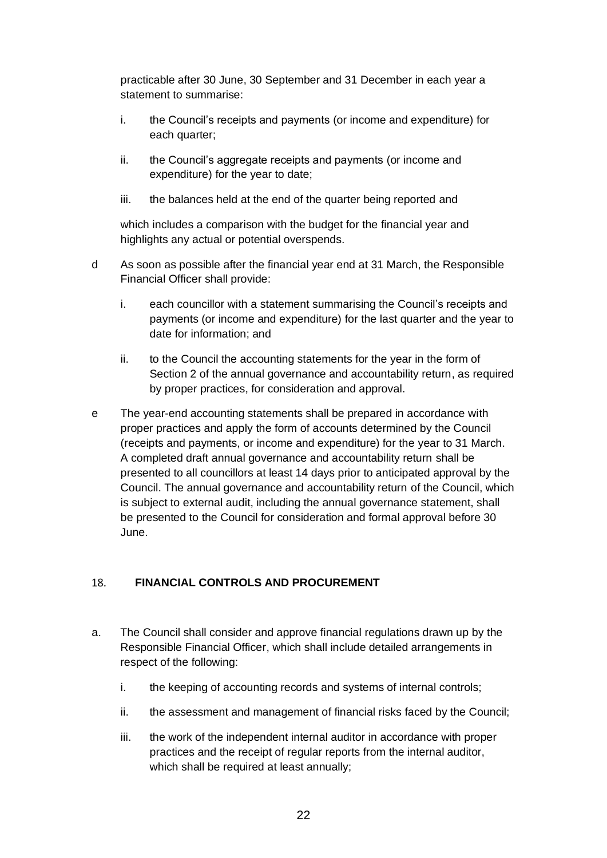practicable after 30 June, 30 September and 31 December in each year a statement to summarise:

- i. the Council's receipts and payments (or income and expenditure) for each quarter:
- ii. the Council's aggregate receipts and payments (or income and expenditure) for the year to date;
- iii. the balances held at the end of the quarter being reported and

which includes a comparison with the budget for the financial year and highlights any actual or potential overspends.

- d As soon as possible after the financial year end at 31 March, the Responsible Financial Officer shall provide:
	- i. each councillor with a statement summarising the Council's receipts and payments (or income and expenditure) for the last quarter and the year to date for information; and
	- ii. to the Council the accounting statements for the year in the form of Section 2 of the annual governance and accountability return, as required by proper practices, for consideration and approval.
- e The year-end accounting statements shall be prepared in accordance with proper practices and apply the form of accounts determined by the Council (receipts and payments, or income and expenditure) for the year to 31 March. A completed draft annual governance and accountability return shall be presented to all councillors at least 14 days prior to anticipated approval by the Council. The annual governance and accountability return of the Council, which is subject to external audit, including the annual governance statement, shall be presented to the Council for consideration and formal approval before 30 June.

#### <span id="page-21-0"></span>18. **FINANCIAL CONTROLS AND PROCUREMENT**

- a. The Council shall consider and approve financial regulations drawn up by the Responsible Financial Officer, which shall include detailed arrangements in respect of the following:
	- i. the keeping of accounting records and systems of internal controls;
	- ii. the assessment and management of financial risks faced by the Council;
	- iii. the work of the independent internal auditor in accordance with proper practices and the receipt of regular reports from the internal auditor, which shall be required at least annually;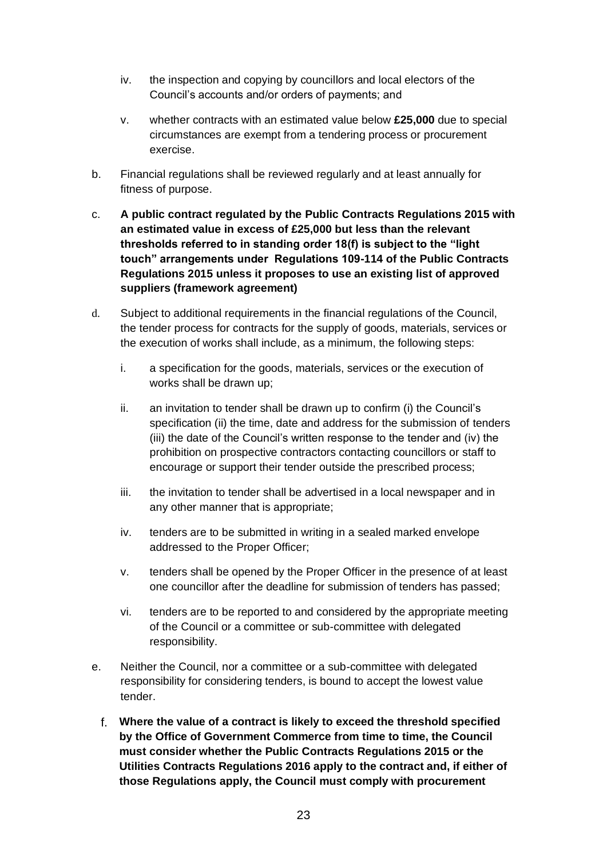- iv. the inspection and copying by councillors and local electors of the Council's accounts and/or orders of payments; and
- v. whether contracts with an estimated value below **£25,000** due to special circumstances are exempt from a tendering process or procurement exercise.
- b. Financial regulations shall be reviewed regularly and at least annually for fitness of purpose.
- c. **A public contract regulated by the Public Contracts Regulations 2015 with an estimated value in excess of £25,000 but less than the relevant thresholds referred to in standing order 18(f) is subject to the "light touch" arrangements under Regulations 109-114 of the Public Contracts Regulations 2015 unless it proposes to use an existing list of approved suppliers (framework agreement)**
- d. Subject to additional requirements in the financial regulations of the Council, the tender process for contracts for the supply of goods, materials, services or the execution of works shall include, as a minimum, the following steps:
	- i. a specification for the goods, materials, services or the execution of works shall be drawn up;
	- ii. an invitation to tender shall be drawn up to confirm (i) the Council's specification (ii) the time, date and address for the submission of tenders (iii) the date of the Council's written response to the tender and (iv) the prohibition on prospective contractors contacting councillors or staff to encourage or support their tender outside the prescribed process;
	- iii. the invitation to tender shall be advertised in a local newspaper and in any other manner that is appropriate;
	- iv. tenders are to be submitted in writing in a sealed marked envelope addressed to the Proper Officer;
	- v. tenders shall be opened by the Proper Officer in the presence of at least one councillor after the deadline for submission of tenders has passed;
	- vi. tenders are to be reported to and considered by the appropriate meeting of the Council or a committee or sub-committee with delegated responsibility.
- e. Neither the Council, nor a committee or a sub-committee with delegated responsibility for considering tenders, is bound to accept the lowest value tender.
	- f. **Where the value of a contract is likely to exceed the threshold specified by the Office of Government Commerce from time to time, the Council must consider whether the Public Contracts Regulations 2015 or the Utilities Contracts Regulations 2016 apply to the contract and, if either of those Regulations apply, the Council must comply with procurement**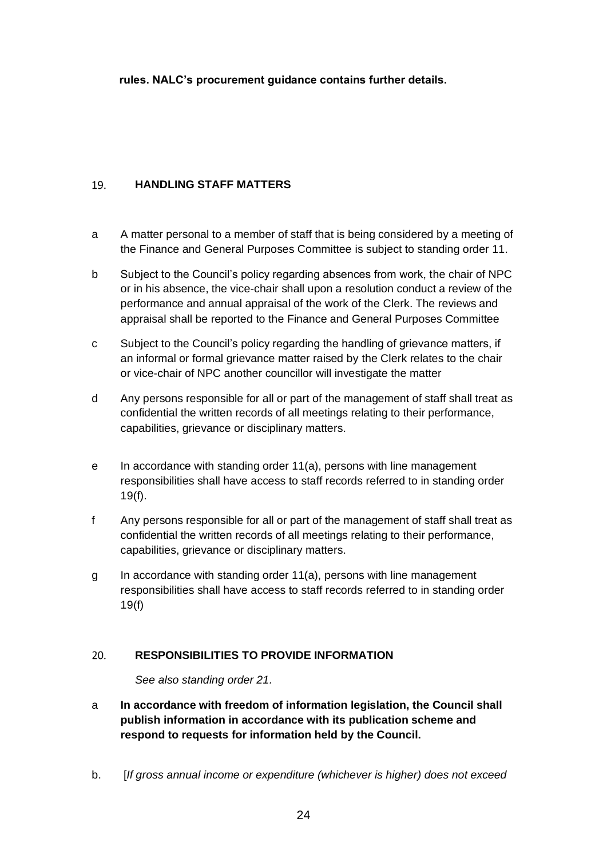**rules. NALC's procurement guidance contains further details.**

#### <span id="page-23-0"></span>**HANDLING STAFF MATTERS** 19.

- a A matter personal to a member of staff that is being considered by a meeting of the Finance and General Purposes Committee is subject to standing order 11.
- b Subject to the Council's policy regarding absences from work, the chair of NPC or in his absence, the vice-chair shall upon a resolution conduct a review of the performance and annual appraisal of the work of the Clerk. The reviews and appraisal shall be reported to the Finance and General Purposes Committee
- c Subject to the Council's policy regarding the handling of grievance matters, if an informal or formal grievance matter raised by the Clerk relates to the chair or vice-chair of NPC another councillor will investigate the matter
- d Any persons responsible for all or part of the management of staff shall treat as confidential the written records of all meetings relating to their performance, capabilities, grievance or disciplinary matters.
- e In accordance with standing order 11(a), persons with line management responsibilities shall have access to staff records referred to in standing order 19(f).
- f Any persons responsible for all or part of the management of staff shall treat as confidential the written records of all meetings relating to their performance, capabilities, grievance or disciplinary matters.
- g In accordance with standing order 11(a), persons with line management responsibilities shall have access to staff records referred to in standing order 19(f)

#### <span id="page-23-1"></span>20. **RESPONSIBILITIES TO PROVIDE INFORMATION**

*See also standing order 21.*

- a **In accordance with freedom of information legislation, the Council shall publish information in accordance with its publication scheme and respond to requests for information held by the Council.**
- b. [*If gross annual income or expenditure (whichever is higher) does not exceed*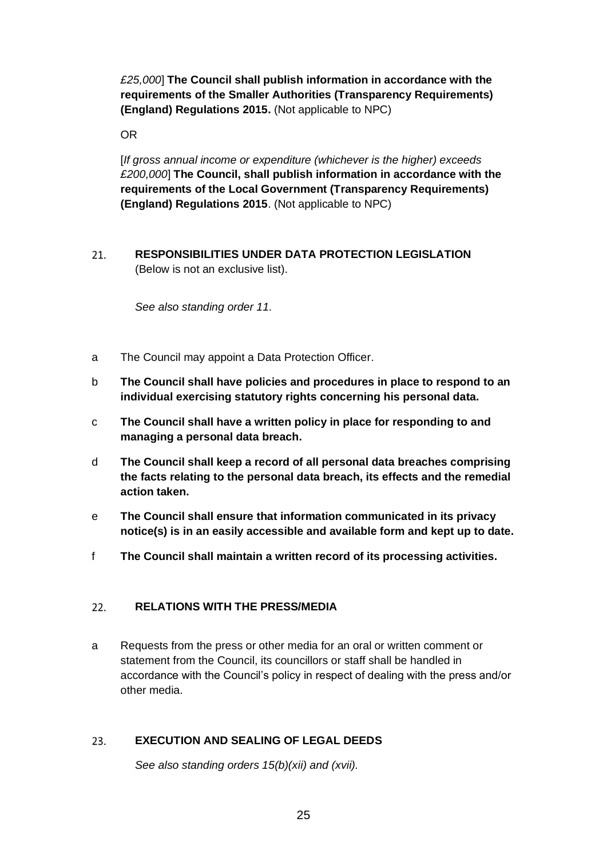*£25,000*] **The Council shall publish information in accordance with the requirements of the Smaller Authorities (Transparency Requirements) (England) Regulations 2015.** (Not applicable to NPC)

OR

[*If gross annual income or expenditure (whichever is the higher) exceeds £200,000*] **The Council, shall publish information in accordance with the requirements of the Local Government (Transparency Requirements) (England) Regulations 2015**. (Not applicable to NPC)

<span id="page-24-0"></span>**RESPONSIBILITIES UNDER DATA PROTECTION LEGISLATION**  21. (Below is not an exclusive list).

*See also standing order 11.*

- a The Council may appoint a Data Protection Officer.
- b **The Council shall have policies and procedures in place to respond to an individual exercising statutory rights concerning his personal data.**
- c **The Council shall have a written policy in place for responding to and managing a personal data breach.**
- d **The Council shall keep a record of all personal data breaches comprising the facts relating to the personal data breach, its effects and the remedial action taken.**
- e **The Council shall ensure that information communicated in its privacy notice(s) is in an easily accessible and available form and kept up to date.**
- f **The Council shall maintain a written record of its processing activities.**

#### <span id="page-24-1"></span> $22.$ **RELATIONS WITH THE PRESS/MEDIA**

a Requests from the press or other media for an oral or written comment or statement from the Council, its councillors or staff shall be handled in accordance with the Council's policy in respect of dealing with the press and/or other media.

#### <span id="page-24-2"></span>23. **EXECUTION AND SEALING OF LEGAL DEEDS**

*See also standing orders 15(b)(xii) and (xvii).*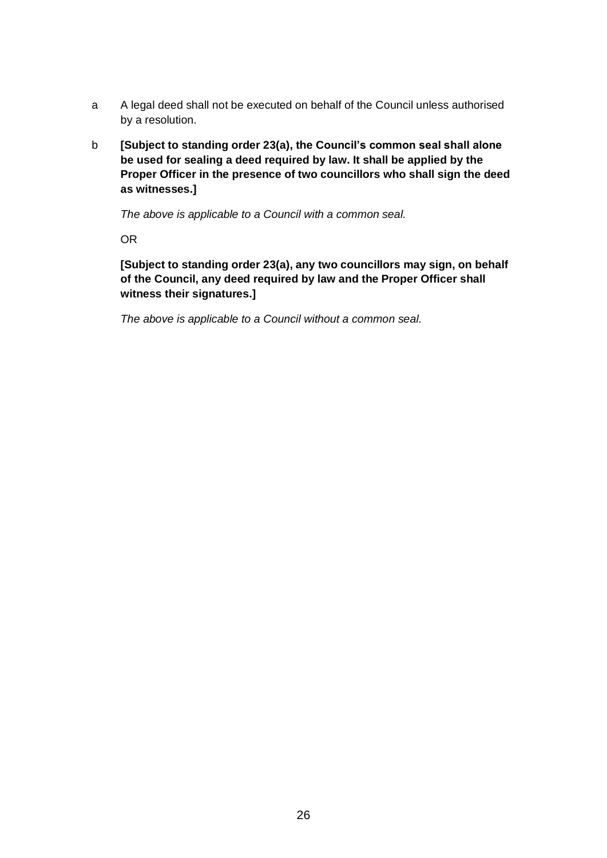- a A legal deed shall not be executed on behalf of the Council unless authorised by a resolution.
- b **[Subject to standing order 23(a), the Council's common seal shall alone be used for sealing a deed required by law. It shall be applied by the Proper Officer in the presence of two councillors who shall sign the deed as witnesses.]**

*The above is applicable to a Council with a common seal.*

OR

**[Subject to standing order 23(a), any two councillors may sign, on behalf of the Council, any deed required by law and the Proper Officer shall witness their signatures.]** 

<span id="page-25-0"></span>*The above is applicable to a Council without a common seal.*